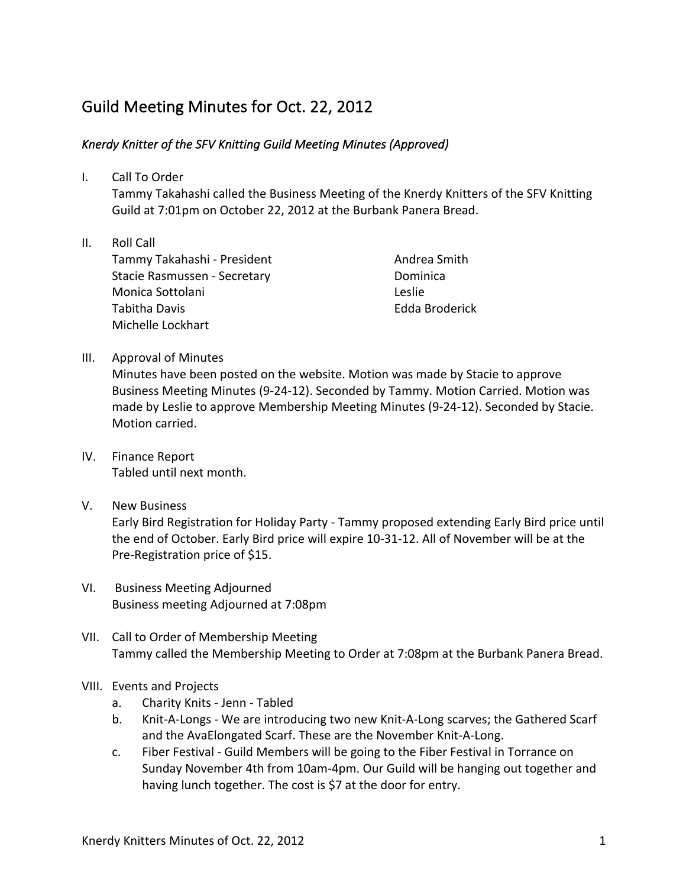## Guild Meeting Minutes for Oct. 22, 2012

## Knerdy Knitter of the SFV Knitting Guild Meeting Minutes (Approved)

I. Call To Order

Tammy Takahashi called the Business Meeting of the Knerdy Knitters of the SFV Knitting Guild at 7:01pm on October 22, 2012 at the Burbank Panera Bread.

II. Roll Call Tammy Takahashi - President Stacie Rasmussen - Secretary Monica Sottolani Tabitha Davis Michelle Lockhart

Andrea Smith Dominica Leslie Edda Broderick

III. Approval of Minutes

Minutes have been posted on the website. Motion was made by Stacie to approve Business Meeting Minutes (9-24-12). Seconded by Tammy. Motion Carried. Motion was made by Leslie to approve Membership Meeting Minutes (9-24-12). Seconded by Stacie. Motion carried.

- IV. Finance Report Tabled until next month.
- V. New Business

Early Bird Registration for Holiday Party - Tammy proposed extending Early Bird price until the end of October. Early Bird price will expire 10-31-12. All of November will be at the Pre-Registration price of \$15.

- VI. Business Meeting Adjourned Business meeting Adjourned at 7:08pm
- VII. Call to Order of Membership Meeting Tammy called the Membership Meeting to Order at 7:08pm at the Burbank Panera Bread.
- VIII. Events and Projects
	- a. Charity Knits Jenn Tabled
	- b. Knit-A-Longs We are introducing two new Knit-A-Long scarves; the Gathered Scarf and the AvaElongated Scarf. These are the November Knit-A-Long.
	- c. Fiber Festival Guild Members will be going to the Fiber Festival in Torrance on Sunday November 4th from 10am-4pm. Our Guild will be hanging out together and having lunch together. The cost is \$7 at the door for entry.